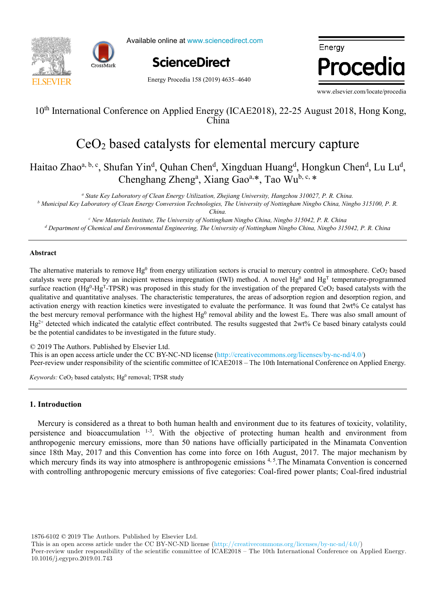



Available online at www.sciencedirect.com

**ScienceDirect** ScienceDirect

Energy Procedia

Energy Procedia 158 (2019) 4635–4640

www.elsevier.com/locate/procedia

# $10<sup>th</sup>$  International Conference on Applied Energy (ICAE2018), 22-25 August 2018, Hong Kong,  $\frac{1}{K}$ 10<sup>th</sup> International Conference on Applied Energy (ICAE2018), 22-25 August 2018, Hong Kong, China

#### $J_2$  based catalysts for elemental mercury capture CeO2 based catalysts for elemental mercury capture CeO2 based catalysts for elemental mercury capture

Zhao<sup>a, b, c</sup>, Shufan Yin<sup>d</sup>, Quhan Chen<sup>d</sup>, Xingduan Huang<sup>d</sup>, Hongkun Chen<sup>d</sup>, Lu Chenghang Zheng<sup>a</sup>, Xiang Gao<sup>a,\*</sup>, Tao Wu<sup>b, c, \*</sup>  $H^+$ ,  $H^+$  about Chendrich Chendrich Chendrich Chendrich Chendrich Chendrich Chendrich Chendrich Chendrich Chendrich Chendrich Chendrich Chendrich Chendrich Chendrich Chendrich Chendrich Chendrich Chendrich Chendrich Ch Haitao Zhao<sup>a, b, c</sup>, Shufan Yin<sup>d</sup>, Quhan Chen<sup>d</sup>, Xingduan Huang<sup>d</sup>, Hongkun Chen<sup>d</sup>, Lu Lu<sup>d</sup>,

a State Key Laboratory of Clean Energy Utilization, Zhejiang University, Hangzhou 310027, P. R. China.

<sup>b</sup> Municipal Key Laboratory of Clean Energy Conversion Technologies, The University of Nottingham Ningbo China, Ningbo 315100, P. R.<br>China. *china.*  $\alpha$ 

*China.*

d Department of Chemical and Environmental Engineering, The University of Nottingham Ningbo China, Ningbo 315042, P. R. China  $\epsilon$  New Materials Institute, The University of Nottingham Ningbo China, Ningbo 315042, P. R. China

*Département Systèmes Énergétiques et Environnement - IMT Atlantique, 4 rue Alfred Kastler, 44300 Nantes, France*

### **Abstract**

*c*

The alternative materials to remove  $Hg^0$  from energy utilization sectors is crucial to mercury control in atmosphere. CeO<sub>2</sub> based surface reaction (Hg<sup>0</sup>-Hg<sup>T</sup>-TPSR) was proposed in this study for the investigation of the prepared CeO<sub>2</sub> based catalysts with the qualitative and quantitative analyses. The characteristic temperatures, the areas of adsorption region and desorption region, and activation energy with reaction kinetics were investigated to evaluate the performance. It was found that 2wt% Ce catalyst has the best mercury removal performance with the highest  $Hg^0$  removal ability and the lowest  $E_a$ . There was also small amount of  $Hg^{2+}$  detected which indicated the catalytic effect contributed. The results suggested that  $2wt\%$  Ce based binary catalysts could be the potential candidates to be investigated in the future study. catalysts were prepared by an incipient wetness impregnation (IWI) method. A novel  $Hg^0$  and  $Hg^T$  temperature-programmed

© 2019 The Authors. Published by Elsevier Ltd.  $\approx$  2019 The Authors. Fubrished by Eisevier Eta.<br>This is an open access article under the CC BY-NC-ND license (http://creativecommons.org/licenses/by-nc-nd/4.0/) Peer-review under responsibility of the scientific committee of ICAE2018 – The 10th International Conference on Applied Energy. The results showed that when only weather change is considered, the margin of error could be acceptable for some applications of error could be acceptable for some applications of error could be applications of error coul

scenarios, the error value increased up to 59.5% (depending on the weather and renovation scenarios combination considered).

Keywords: CeO<sub>2</sub> based catalysts; Hg<sup>0</sup> removal; TPSR study

#### $\alpha$  in the number of  $22-139$  during the heating season (depending on the combination of weather and weather and weather and  $\alpha$ **1. Introduction**

Mercury is considered as a threat to both human health and environment due to its features of toxicity, volatility, persistence and bioaccumulation <sup>1-3</sup>. With the objective of protecting human health and environment from since 18th May, 2017 and this Convention has come into force on 16th August, 2017. The major mechanism by which mercury finds its way into atmosphere is anthropogenic emissions<sup>4,5</sup>. The Minamata Convention is concerned with controlling anthropogenic mercury emissions of five categories: Coal-fired power plants; Coal-fired industrial numanthropogenic mercury emissions, more than 50 nations have officially participated in the Minamata Convention

1876-6102 © 2019 The Authors. Published by Elsevier Ltd.

This is an open access article under the CC BY-NC-ND license (http://creativecommons.org/licenses/by-nc-nd/4.0/)

Peer-review under responsibility of the scientific committee of ICAE2018 – The 10th International Conference on Applied Energy. 10.1016/j.egypro.2019.01.743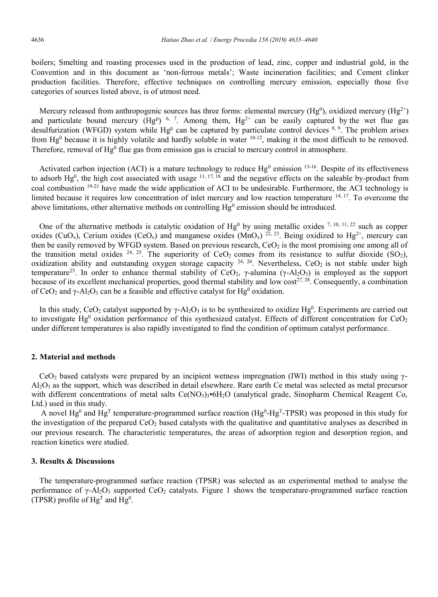boilers; Smelting and roasting processes used in the production of lead, zinc, copper and industrial gold, in the Convention and in this document as 'non-ferrous metals'; Waste incineration facilities; and Cement clinker production facilities. Therefore, effective techniques on controlling mercury emission, especially those five categories of sources listed above, is of utmost need.

Mercury released from anthropogenic sources has three forms: elemental mercury (Hg<sup>0</sup>), oxidized mercury (Hg<sup>2+</sup>) and particulate bound mercury (Hg<sup>p</sup>)<sup>6, 7</sup>. Among them, Hg<sup>2+</sup> can be easily captured by the wet flue gas desulfurization (WFGD) system while Hg<sup>p</sup> can be captured by particulate control devices  $8,9$ . The problem arises from  $Hg^0$  because it is highly volatile and hardly soluble in water  $10^{-12}$ , making it the most difficult to be removed. Therefore, removal of  $He^{0}$  flue gas from emission gas is crucial to mercury control in atmosphere.

Activated carbon injection (ACI) is a mature technology to reduce  $Hg^0$  emission  $^{13-16}$ . Despite of its effectiveness to adsorb  $Hg^0$ , the high cost associated with usage  $11, 17, 18$  and the negative effects on the saleable by-product from coal combustion 19-21 have made the wide application of ACI to be undesirable. Furthermore, the ACI technology is limited because it requires low concentration of inlet mercury and low reaction temperature 14, 17. To overcome the above limitations, other alternative methods on controlling  $Hg^0$  emission should be introduced.

One of the alternative methods is catalytic oxidation of Hg<sup>0</sup> by using metallic oxides  $^{7, 10, 11, 22}$  such as copper oxides (CuO<sub>x</sub>), Cerium oxides (CeO<sub>x</sub>) and manganese oxides (MnO<sub>x</sub>) <sup>22, 23</sup>. Being oxidized to Hg<sup>2+</sup>, mercury can then be easily removed by WFGD system. Based on previous research,  $CeO<sub>2</sub>$  is the most promising one among all of the transition metal oxides  $24$ ,  $25$ . The superiority of CeO<sub>2</sub> comes from its resistance to sulfur dioxide (SO<sub>2</sub>), oxidization ability and outstanding oxygen storage capacity  $24$ ,  $26$ . Nevertheless, CeO<sub>2</sub> is not stable under high temperature<sup>25</sup>. In order to enhance thermal stability of CeO<sub>2</sub>, γ-alumina (γ-Al<sub>2</sub>O<sub>3</sub>) is employed as the support because of its excellent mechanical properties, good thermal stability and low  $cost^{27,28}$ . Consequently, a combination of CeO<sub>2</sub> and  $\gamma$ -Al<sub>2</sub>O<sub>3</sub> can be a feasible and effective catalyst for Hg<sup>0</sup> oxidation.

In this study, CeO<sub>2</sub> catalyst supported by  $\gamma$ -Al<sub>2</sub>O<sub>3</sub> is to be synthesized to oxidize Hg<sup>0</sup>. Experiments are carried out to investigate Hg<sup>0</sup> oxidation performance of this synthesized catalyst. Effects of different concentration for CeO<sub>2</sub> under different temperatures is also rapidly investigated to find the condition of optimum catalyst performance.

#### **2. Material and methods**

CeO<sub>2</sub> based catalysts were prepared by an incipient wetness impregnation (IWI) method in this study using  $\gamma$ - $AI_2O_3$  as the support, which was described in detail elsewhere. Rare earth Ce metal was selected as metal precursor with different concentrations of metal salts Ce(NO<sub>3</sub>)<sub>3</sub>•6H<sub>2</sub>O (analytical grade, Sinopharm Chemical Reagent Co, Ltd.) used in this study.

A novel  $Hg^0$  and  $Hg^T$  temperature-programmed surface reaction ( $Hg^0-Hg^T$ -TPSR) was proposed in this study for the investigation of the prepared  $CeO<sub>2</sub>$  based catalysts with the qualitative and quantitative analyses as described in our previous research. The characteristic temperatures, the areas of adsorption region and desorption region, and reaction kinetics were studied.

# **3. Results & Discussions**

The temperature-programmed surface reaction (TPSR) was selected as an experimental method to analyse the performance of  $\gamma$ -Al<sub>2</sub>O<sub>3</sub> supported CeO<sub>2</sub> catalysts. Figure 1 shows the temperature-programmed surface reaction (TPSR) profile of  $Hg<sup>T</sup>$  and  $Hg<sup>0</sup>$ .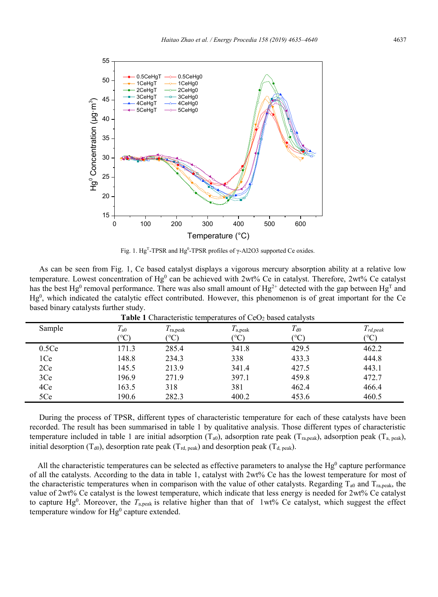

Fig. 1. Hg<sup>T</sup>-TPSR and Hg<sup>0</sup>-TPSR profiles of  $\gamma$ -Al2O3 supported Ce oxides.

| As can be seen from Fig. 1, Ce based catalyst displays a vigorous mercury absorption ability at a relative low                                      |
|-----------------------------------------------------------------------------------------------------------------------------------------------------|
| temperature. Lowest concentration of $Hg^0$ can be achieved with 2wt% Ce in catalyst. Therefore, 2wt% Ce catalyst                                   |
| has the best Hg <sup>0</sup> removal performance. There was also small amount of Hg <sup>2+</sup> detected with the gap between Hg <sup>T</sup> and |
| $Hg0$ , which indicated the catalytic effect contributed. However, this phenomenon is of great important for the Ce                                 |
| based binary catalysts further study.                                                                                                               |

| <b>Table 1</b> Characteristic temperatures of CeO <sub>2</sub> based catalysts |               |                   |                      |                   |               |  |  |
|--------------------------------------------------------------------------------|---------------|-------------------|----------------------|-------------------|---------------|--|--|
| Sample                                                                         | $T_{\rm a0}$  | $T_{\rm ra,peak}$ | $T_{\rm a,peak}$     | $T_{\rm d0}$      | $T_{rd,peak}$ |  |  |
|                                                                                | $^{\circ}$ C) | (°C)              | $^{\circ}\mathrm{C}$ | $\rm ^{(o}\rm C)$ | (°C)          |  |  |
| 0.5Ce                                                                          | 171.3         | 285.4             | 341.8                | 429.5             | 462.2         |  |  |
| 1Ce                                                                            | 148.8         | 234.3             | 338                  | 433.3             | 444.8         |  |  |
| 2Ce                                                                            | 145.5         | 213.9             | 341.4                | 427.5             | 443.1         |  |  |
| 3Ce                                                                            | 196.9         | 271.9             | 397.1                | 459.8             | 472.7         |  |  |
| 4Ce                                                                            | 163.5         | 318               | 381                  | 462.4             | 466.4         |  |  |
| 5Ce                                                                            | 190.6         | 282.3             | 400.2                | 453.6             | 460.5         |  |  |

**Table 1** Characteristic temperatures of 
$$
CeO2
$$
 based catalysts

During the process of TPSR, different types of characteristic temperature for each of these catalysts have been recorded. The result has been summarised in table 1 by qualitative analysis. Those different types of characteristic temperature included in table 1 are initial adsorption  $(T_{a0})$ , adsorption rate peak  $(T_{\text{ra,peak}})$ , adsorption peak  $(T_{\text{a, peak}})$ , initial desorption (T<sub>d0</sub>), desorption rate peak (T<sub>rd, peak</sub>) and desorption peak (T<sub>d, peak</sub>).

All the characteristic temperatures can be selected as effective parameters to analyse the  $Hg<sup>0</sup>$  capture performance of all the catalysts. According to the data in table 1, catalyst with 2wt% Ce has the lowest temperature for most of the characteristic temperatures when in comparison with the value of other catalysts. Regarding  $T_{\text{ao}}$  and  $T_{\text{ra,peak}}$ , the value of 2wt% Ce catalyst is the lowest temperature, which indicate that less energy is needed for 2wt% Ce catalyst to capture Hg<sup>0</sup>. Moreover, the  $T_{a,peak}$  is relative higher than that of  $1wt\%$  Ce catalyst, which suggest the effect temperature window for  $Hg^0$  capture extended.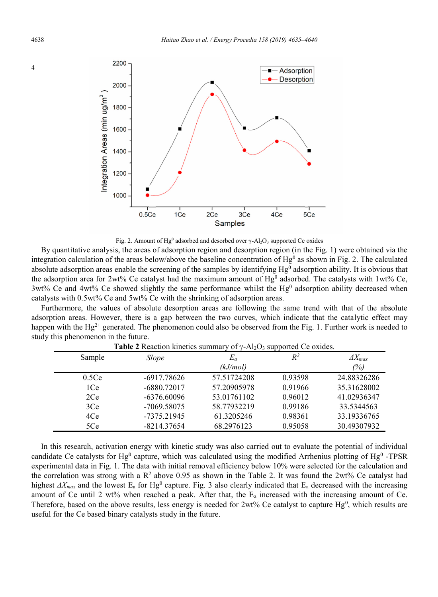

Fig. 2. Amount of Hg<sup>0</sup> adsorbed and desorbed over  $\gamma$ -Al<sub>2</sub>O<sub>3</sub> supported Ce oxides

By quantitative analysis, the areas of adsorption region and desorption region (in the Fig. 1) were obtained via the integration calculation of the areas below/above the baseline concentration of Hg<sup>0</sup> as shown in Fig. 2. The calculated absolute adsorption areas enable the screening of the samples by identifying  $Hg<sup>0</sup>$  adsorption ability. It is obvious that the adsorption area for 2wt% Ce catalyst had the maximum amount of  $Hg^0$  adsorbed. The catalysts with 1wt% Ce,  $3wt\%$  Ce and  $4wt\%$  Ce showed slightly the same performance whilst the Hg<sup>0</sup> adsorption ability decreased when catalysts with 0.5wt% Ce and 5wt% Ce with the shrinking of adsorption areas.

Furthermore, the values of absolute desorption areas are following the same trend with that of the absolute adsorption areas. However, there is a gap between the two curves, which indicate that the catalytic effect may happen with the  $Hg^{2+}$  generated. The phenomenon could also be observed from the Fig. 1. Further work is needed to study this phenomenon in the future.

| $\mathbf{r}$ which is a contribution of $\mathbf{r}$ and $\mathbf{r}$ and $\mathbf{r}$ and $\mathbf{r}$ are $\mathbf{r}$ . The set |               |             |         |                  |  |  |  |  |
|------------------------------------------------------------------------------------------------------------------------------------|---------------|-------------|---------|------------------|--|--|--|--|
| Sample                                                                                                                             | Slope         | $E_a$       | $R^2$   | $\Delta X_{max}$ |  |  |  |  |
|                                                                                                                                    |               | (kJ/mol)    |         | (%)              |  |  |  |  |
| 0.5Ce                                                                                                                              | $-6917.78626$ | 57.51724208 | 0.93598 | 24.88326286      |  |  |  |  |
| 1Ce                                                                                                                                | -6880.72017   | 57.20905978 | 0.91966 | 35.31628002      |  |  |  |  |
| 2Ce                                                                                                                                | $-6376.60096$ | 53.01761102 | 0.96012 | 41.02936347      |  |  |  |  |
| 3Ce                                                                                                                                | -7069.58075   | 58.77932219 | 0.99186 | 33.5344563       |  |  |  |  |
| 4Ce                                                                                                                                | -7375.21945   | 61.3205246  | 0.98361 | 33.19336765      |  |  |  |  |
| 5Ce                                                                                                                                | $-8214.37654$ | 68.2976123  | 0.95058 | 30.49307932      |  |  |  |  |

**Table 2** Reaction kinetics summary of γ-Al<sub>2</sub>O<sub>3</sub> supported Ce oxides

In this research, activation energy with kinetic study was also carried out to evaluate the potential of individual candidate Ce catalysts for Hg<sup>0</sup> capture, which was calculated using the modified Arrhenius plotting of Hg<sup>0</sup> -TPSR experimental data in Fig. 1. The data with initial removal efficiency below 10% were selected for the calculation and the correlation was strong with a  $R^2$  above 0.95 as shown in the Table 2. It was found the 2wt% Ce catalyst had highest  $\Delta X_{max}$  and the lowest E<sub>a</sub> for Hg<sup>0</sup> capture. Fig. 3 also clearly indicated that E<sub>a</sub> decreased with the increasing amount of Ce until 2 wt% when reached a peak. After that, the  $E_a$  increased with the increasing amount of Ce. Therefore, based on the above results, less energy is needed for  $2wt\%$  Ce catalyst to capture Hg<sup>0</sup>, which results are useful for the Ce based binary catalysts study in the future.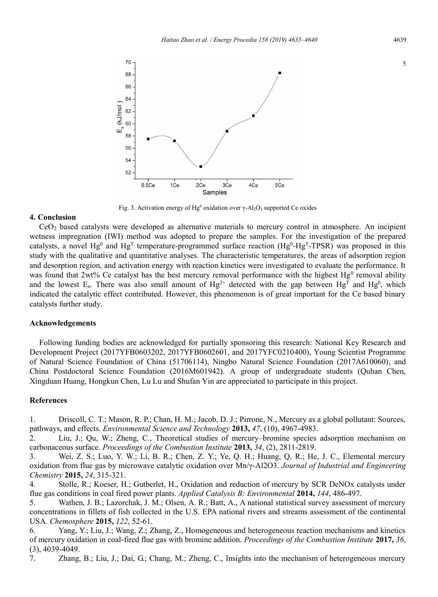

Fig. 3. Activation energy of Hg<sup>0</sup> oxidation over  $\gamma$ -Al<sub>2</sub>O<sub>3</sub> supported Ce oxides

#### **4. Conclusion**

CeO2 based catalysts were developed as alternative materials to mercury control in atmosphere. An incipient wetness impregnation (IWI) method was adopted to prepare the samples. For the investigation of the prepared catalysts, a novel  $Hg^0$  and  $Hg^T$  temperature-programmed surface reaction  $(Hg^0-Hg^T-TPSR)$  was proposed in this study with the qualitative and quantitative analyses. The characteristic temperatures, the areas of adsorption region and desorption region, and activation energy with reaction kinetics were investigated to evaluate the performance. It was found that 2wt% Ce catalyst has the best mercury removal performance with the highest Hg<sup>0</sup> removal ability and the lowest  $E_a$ . There was also small amount of  $Hg^{2+}$  detected with the gap between  $Hg^T$  and  $Hg^0$ , which indicated the catalytic effect contributed. However, this phenomenon is of great important for the Ce based binary catalysts further study.

## **Acknowledgements**

Following funding bodies are acknowledged for partially sponsoring this research: National Key Research and Development Project (2017YFB0603202, 2017YFB0602601, and 2017YFC0210400), Young Scientist Programme of Natural Science Foundation of China (51706114), Ningbo Natural Science Foundation (2017A610060), and China Postdoctoral Science Foundation (2016M601942). A group of undergraduate students (Quhan Chen, Xingduan Huang, Hongkun Chen, Lu Lu and Shufan Yin are appreciated to participate in this project.

# **References**

1. Driscoll, C. T.; Mason, R. P.; Chan, H. M.; Jacob, D. J.; Pirrone, N., Mercury as a global pollutant: Sources, pathways, and effects. *Environmental Science and Technology* **2013,** *47*, (10), 4967-4983.

2. Liu, J.; Qu, W.; Zheng, C., Theoretical studies of mercury–bromine species adsorption mechanism on carbonaceous surface. *Proceedings of the Combustion Institute* **2013,** *34*, (2), 2811-2819.

3. Wei, Z. S.; Luo, Y. W.; Li, B. R.; Chen, Z. Y.; Ye, Q. H.; Huang, Q. R.; He, J. C., Elemental mercury oxidation from flue gas by microwave catalytic oxidation over Mn/γ-Al2O3. *Journal of Industrial and Engineering Chemistry* **2015,** *24*, 315-321.

4. Stolle, R.; Koeser, H.; Gutberlet, H., Oxidation and reduction of mercury by SCR DeNOx catalysts under flue gas conditions in coal fired power plants. *Applied Catalysis B: Environmental* **2014,** *144*, 486-497.

5. Wathen, J. B.; Lazorchak, J. M.; Olsen, A. R.; Batt, A., A national statistical survey assessment of mercury concentrations in fillets of fish collected in the U.S. EPA national rivers and streams assessment of the continental USA. *Chemosphere* **2015,** *122*, 52-61.

6. Yang, Y.; Liu, J.; Wang, Z.; Zhang, Z., Homogeneous and heterogeneous reaction mechanisms and kinetics of mercury oxidation in coal-fired flue gas with bromine addition. *Proceedings of the Combustion Institute* **2017,** *36*, (3), 4039-4049.

7. Zhang, B.; Liu, J.; Dai, G.; Chang, M.; Zheng, C., Insights into the mechanism of heterogeneous mercury